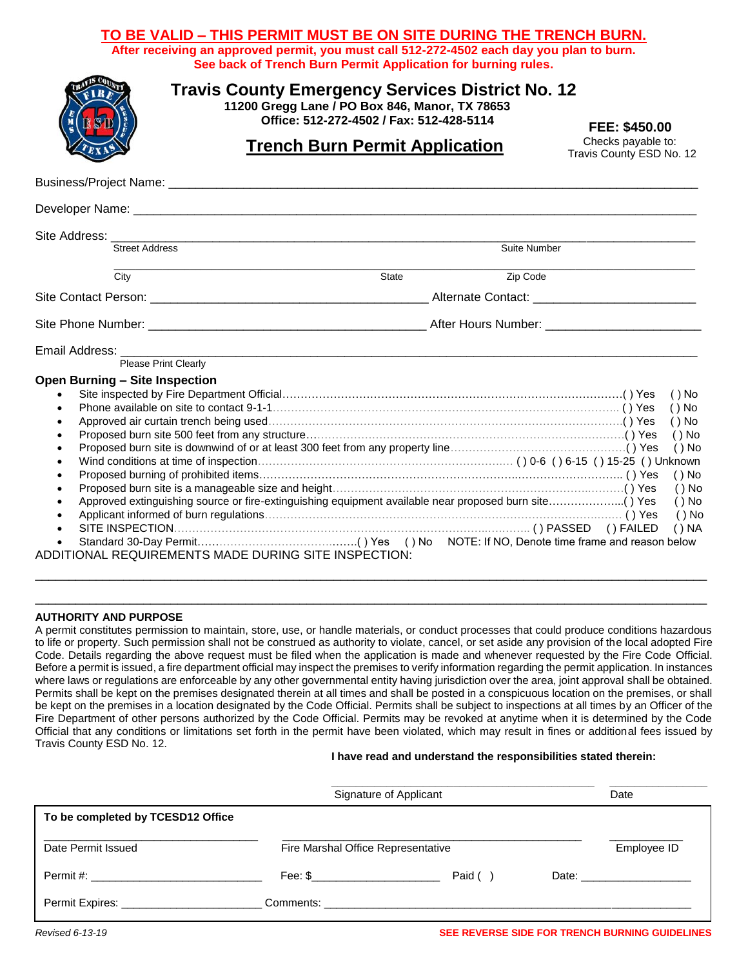## **TO BE VALID – THIS PERMIT MUST BE ON SITE DURING THE TRENCH BURN.**

**After receiving an approved permit, you must call 512-272-4502 each day you plan to burn. See back of Trench Burn Permit Application for burning rules.**

| <b>Travis County Emergency Services District No. 12</b><br>11200 Gregg Lane / PO Box 846, Manor, TX 78653<br><b>ESD</b><br>Office: 512-272-4502 / Fax: 512-428-5114<br><u><b>Trench Burn Permit Application</b></u> | FEE: \$450.00<br>Checks payable to:<br>Travis County ESD No. 12 |                                                                                                        |  |  |  |
|---------------------------------------------------------------------------------------------------------------------------------------------------------------------------------------------------------------------|-----------------------------------------------------------------|--------------------------------------------------------------------------------------------------------|--|--|--|
|                                                                                                                                                                                                                     |                                                                 |                                                                                                        |  |  |  |
|                                                                                                                                                                                                                     |                                                                 |                                                                                                        |  |  |  |
| <b>Street Address</b>                                                                                                                                                                                               | Suite Number                                                    |                                                                                                        |  |  |  |
| City                                                                                                                                                                                                                | Zip Code<br><b>State</b>                                        |                                                                                                        |  |  |  |
|                                                                                                                                                                                                                     |                                                                 |                                                                                                        |  |  |  |
|                                                                                                                                                                                                                     |                                                                 |                                                                                                        |  |  |  |
| Please Print Clearly                                                                                                                                                                                                |                                                                 |                                                                                                        |  |  |  |
| <b>Open Burning - Site Inspection</b>                                                                                                                                                                               |                                                                 | ( ) No<br>$()$ No<br>$()$ No<br>$()$ No<br>$()$ No<br>$()$ No<br>$()$ No<br>$()$ No<br>( ) No<br>() NA |  |  |  |
| ADDITIONAL REQUIREMENTS MADE DURING SITE INSPECTION:                                                                                                                                                                |                                                                 |                                                                                                        |  |  |  |

### **AUTHORITY AND PURPOSE**

A permit constitutes permission to maintain, store, use, or handle materials, or conduct processes that could produce conditions hazardous to life or property. Such permission shall not be construed as authority to violate, cancel, or set aside any provision of the local adopted Fire Code. Details regarding the above request must be filed when the application is made and whenever requested by the Fire Code Official. Before a permit is issued, a fire department official may inspect the premises to verify information regarding the permit application. In instances where laws or regulations are enforceable by any other governmental entity having jurisdiction over the area, joint approval shall be obtained. Permits shall be kept on the premises designated therein at all times and shall be posted in a conspicuous location on the premises, or shall be kept on the premises in a location designated by the Code Official. Permits shall be subject to inspections at all times by an Officer of the Fire Department of other persons authorized by the Code Official. Permits may be revoked at anytime when it is determined by the Code Official that any conditions or limitations set forth in the permit have been violated, which may result in fines or additional fees issued by Travis County ESD No. 12.

\_\_\_\_\_\_\_\_\_\_\_\_\_\_\_\_\_\_\_\_\_\_\_\_\_\_\_\_\_\_\_\_\_\_\_\_\_\_\_\_\_\_\_\_\_\_\_\_\_\_\_\_\_\_\_\_\_\_\_\_\_\_\_\_\_\_\_\_\_\_\_\_\_\_\_\_\_\_\_\_\_\_\_\_\_\_\_\_\_\_\_\_\_\_\_\_\_\_\_ \_\_\_\_\_\_\_\_\_\_\_\_\_\_\_\_\_\_\_\_\_\_\_\_\_\_\_\_\_\_\_\_\_\_\_\_\_\_\_\_\_\_\_\_\_\_\_\_\_\_\_\_\_\_\_\_\_\_\_\_\_\_\_\_\_\_\_\_\_\_\_\_\_\_\_\_\_\_\_\_\_\_\_\_\_\_\_\_\_\_\_\_\_\_\_\_\_\_\_

#### **I have read and understand the responsibilities stated therein:**

|                                                                                                                                                                                                                                     | Signature of Applicant               |         |  | Date                          |
|-------------------------------------------------------------------------------------------------------------------------------------------------------------------------------------------------------------------------------------|--------------------------------------|---------|--|-------------------------------|
| To be completed by TCESD12 Office                                                                                                                                                                                                   |                                      |         |  |                               |
| Date Permit Issued                                                                                                                                                                                                                  | Fire Marshal Office Representative   |         |  | Employee ID                   |
|                                                                                                                                                                                                                                     | Fee: $\frac{\mathsf{S}}{\mathsf{S}}$ | Paid () |  | Date: _______________________ |
| <b>Permit Expires:</b> The contract of the contract of the contract of the contract of the contract of the contract of the contract of the contract of the contract of the contract of the contract of the contract of the contract |                                      |         |  |                               |